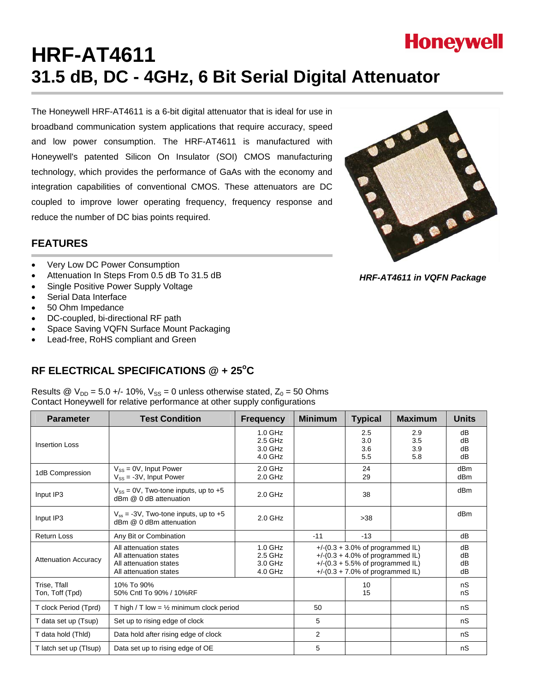

# **HRF-AT4611 31.5 dB, DC - 4GHz, 6 Bit Serial Digital Attenuator**

The Honeywell HRF-AT4611 is a 6-bit digital attenuator that is ideal for use in broadband communication system applications that require accuracy, speed and low power consumption. The HRF-AT4611 is manufactured with Honeywell's patented Silicon On Insulator (SOI) CMOS manufacturing technology, which provides the performance of GaAs with the economy and integration capabilities of conventional CMOS. These attenuators are DC coupled to improve lower operating frequency, frequency response and reduce the number of DC bias points required.



- Very Low DC Power Consumption
- Attenuation In Steps From 0.5 dB To 31.5 dB
- Single Positive Power Supply Voltage
- Serial Data Interface
- 50 Ohm Impedance
- DC-coupled, bi-directional RF path
- Space Saving VQFN Surface Mount Packaging
- Lead-free, RoHS compliant and Green

# RF ELECTRICAL SPECIFICATIONS @ + 25°C

Results @  $V_{DD} = 5.0 +/- 10\%$ ,  $V_{SS} = 0$  unless otherwise stated,  $Z_0 = 50$  Ohms Contact Honeywell for relative performance at other supply configurations

| <b>Parameter</b>                | <b>Test Condition</b>                                                                                                                              | <b>Frequency</b>                             | <b>Minimum</b>                                                                                                                                                      | <b>Typical</b>           | <b>Maximum</b>           | <b>Units</b>           |
|---------------------------------|----------------------------------------------------------------------------------------------------------------------------------------------------|----------------------------------------------|---------------------------------------------------------------------------------------------------------------------------------------------------------------------|--------------------------|--------------------------|------------------------|
| <b>Insertion Loss</b>           |                                                                                                                                                    | $1.0$ GHz<br>$2.5$ GHz<br>3.0 GHz<br>4.0 GHz |                                                                                                                                                                     | 2.5<br>3.0<br>3.6<br>5.5 | 2.9<br>3.5<br>3.9<br>5.8 | dB<br>dB<br>dB<br>dB   |
| 1dB Compression                 | $V_{SS} = 0V$ , Input Power<br>$V_{SS} = -3V$ , Input Power                                                                                        | $2.0$ GHz<br>$2.0$ GHz                       |                                                                                                                                                                     | 24<br>29                 |                          | dB <sub>m</sub><br>dBm |
| Input IP3                       | $V_{SS}$ = 0V, Two-tone inputs, up to +5<br>dBm @ 0 dB attenuation                                                                                 | 2.0 GHz                                      |                                                                                                                                                                     | 38                       |                          | dBm                    |
| Input IP3                       | $V_{ss}$ = -3V, Two-tone inputs, up to +5<br>dBm @ 0 dBm attenuation                                                                               | $2.0$ GHz                                    |                                                                                                                                                                     | >38                      |                          | dBm                    |
| <b>Return Loss</b>              | Any Bit or Combination                                                                                                                             |                                              | $-11$                                                                                                                                                               | $-13$                    |                          | dB                     |
| <b>Attenuation Accuracy</b>     | 1.0 GHz<br>All attenuation states<br>2.5 GHz<br>All attenuation states<br>3.0 GHz<br>All attenuation states<br>$4.0$ GHz<br>All attenuation states |                                              | +/- $(0.3 + 3.0\%$ of programmed IL)<br>+/- $(0.3 + 4.0\%$ of programmed IL)<br>+/- $(0.3 + 5.5\% \text{ of programmed IL})$<br>$+$ /-(0.3 + 7.0% of programmed IL) |                          |                          | dB<br>dB<br>dB<br>dB   |
| Trise, Tfall<br>Ton, Toff (Tpd) | 10% To 90%<br>50% Cntl To 90% / 10%RF                                                                                                              |                                              |                                                                                                                                                                     | 10<br>15                 |                          | nS<br>nS               |
| T clock Period (Tprd)           | T high / T low = $\frac{1}{2}$ minimum clock period                                                                                                |                                              | 50                                                                                                                                                                  |                          |                          | nS                     |
| T data set up (Tsup)            | Set up to rising edge of clock                                                                                                                     |                                              | 5                                                                                                                                                                   |                          |                          | nS                     |
| T data hold (Thid)              | Data hold after rising edge of clock                                                                                                               |                                              | 2                                                                                                                                                                   |                          |                          | nS                     |
| T latch set up (Tisup)          | Data set up to rising edge of OE                                                                                                                   |                                              | 5                                                                                                                                                                   |                          |                          | nS                     |



*HRF-AT4611 in VQFN Package*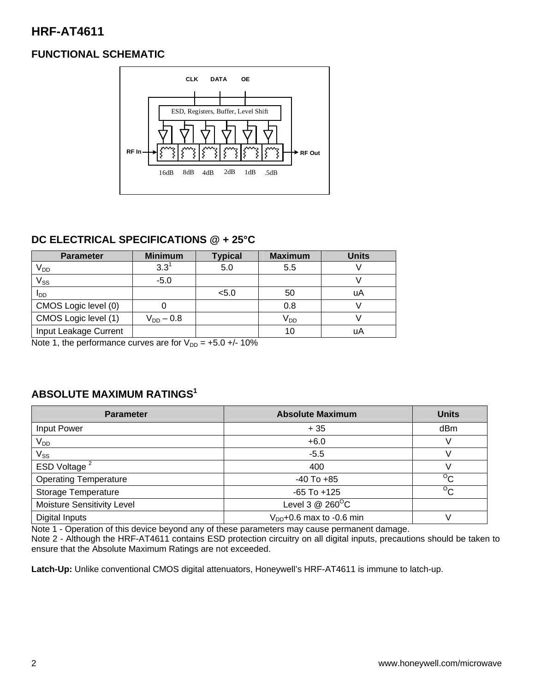# **FUNCTIONAL SCHEMATIC**



# **DC ELECTRICAL SPECIFICATIONS @ + 25°C**

| <b>Parameter</b>       | <b>Minimum</b> | <b>Typical</b> | <b>Maximum</b>  | <b>Units</b> |
|------------------------|----------------|----------------|-----------------|--------------|
| V <sub>DD</sub>        | $3.3^{\circ}$  | 5.0            | 5.5             |              |
| $V_{SS}$               | $-5.0$         |                |                 |              |
| <b>I</b> <sub>DD</sub> |                | < 5.0          | 50              | uA           |
| CMOS Logic level (0)   |                |                | 0.8             |              |
| CMOS Logic level (1)   | $V_{DD} - 0.8$ |                | V <sub>DD</sub> |              |
| Input Leakage Current  |                |                | 10              | uA           |

Note 1, the performance curves are for  $V_{DD} = +5.0 +/- 10\%$ 

# **ABSOLUTE MAXIMUM RATINGS1**

| <b>Parameter</b>             | <b>Absolute Maximum</b>       | <b>Units</b>   |
|------------------------------|-------------------------------|----------------|
| Input Power                  | $+35$                         | dBm            |
| $V_{DD}$                     | $+6.0$                        |                |
| $\mathsf{V}_{\mathsf{SS}}$   | $-5.5$                        |                |
| ESD Voltage <sup>2</sup>     | 400                           |                |
| <b>Operating Temperature</b> | $-40$ To $+85$                | $\overline{C}$ |
| <b>Storage Temperature</b>   | $-65$ To $+125$               | $^{\circ}$ C   |
| Moisture Sensitivity Level   | Level 3 $@$ 260 $^{\circ}$ C  |                |
| Digital Inputs               | $V_{DD}$ +0.6 max to -0.6 min |                |

Note 1 - Operation of this device beyond any of these parameters may cause permanent damage.

Note 2 - Although the HRF-AT4611 contains ESD protection circuitry on all digital inputs, precautions should be taken to ensure that the Absolute Maximum Ratings are not exceeded.

**Latch-Up:** Unlike conventional CMOS digital attenuators, Honeywell's HRF-AT4611 is immune to latch-up.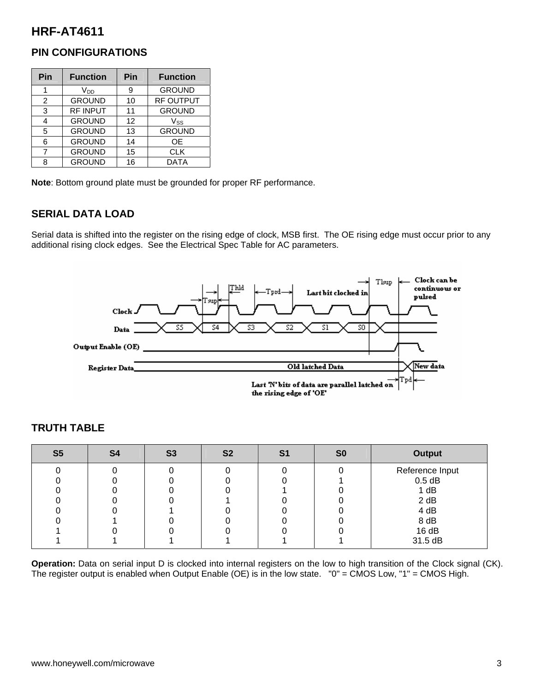### **PIN CONFIGURATIONS**

| Pin            | <b>Function</b> | Pin | <b>Function</b> |
|----------------|-----------------|-----|-----------------|
|                | V <sub>DD</sub> | 9   | <b>GROUND</b>   |
| $\overline{2}$ | <b>GROUND</b>   | 10  | RF OUTPUT       |
| 3              | <b>RF INPUT</b> | 11  | <b>GROUND</b>   |
| 4              | <b>GROUND</b>   | 12  | $V_{SS}$        |
| 5              | <b>GROUND</b>   | 13  | <b>GROUND</b>   |
| 6              | <b>GROUND</b>   | 14  | <b>OE</b>       |
| 7              | <b>GROUND</b>   | 15  | <b>CLK</b>      |
| 8              | <b>GROUND</b>   | 16  | <b>DATA</b>     |

**Note**: Bottom ground plate must be grounded for proper RF performance.

# **SERIAL DATA LOAD**

Serial data is shifted into the register on the rising edge of clock, MSB first. The OE rising edge must occur prior to any additional rising clock edges. See the Electrical Spec Table for AC parameters.



| S <sub>5</sub> | S4 | <b>S3</b> | S <sub>2</sub> | S1 | S <sub>0</sub> | <b>Output</b>   |
|----------------|----|-----------|----------------|----|----------------|-----------------|
|                |    |           |                |    |                | Reference Input |
|                |    |           |                |    |                | $0.5$ dB        |
|                |    |           |                |    |                | 1 dB            |
|                |    |           |                |    |                | 2 dB            |
|                |    |           |                |    |                | 4 dB            |
|                |    |           |                |    |                | 8 dB            |
|                |    |           |                |    |                | 16 dB           |
|                |    |           |                |    |                | 31.5 dB         |

# **TRUTH TABLE**

**Operation:** Data on serial input D is clocked into internal registers on the low to high transition of the Clock signal (CK). The register output is enabled when Output Enable (OE) is in the low state. "0" = CMOS Low, "1" = CMOS High.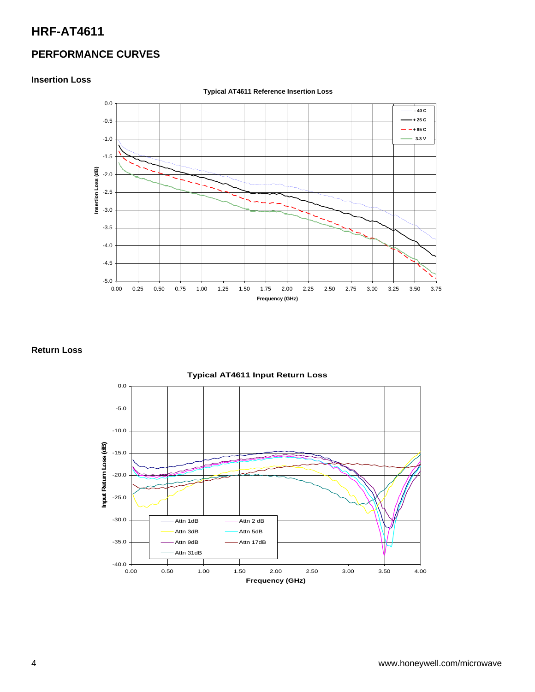# **PERFORMANCE CURVES**

#### **Insertion Loss**



#### **Return Loss**



#### 4 www.honeywell.com/microwave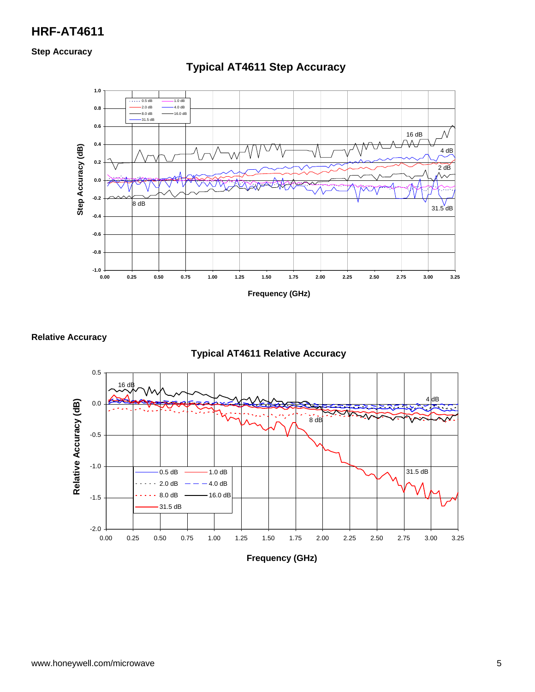**Step Accuracy** 



# **Typical AT4611 Step Accuracy**

**Relative Accuracy** 



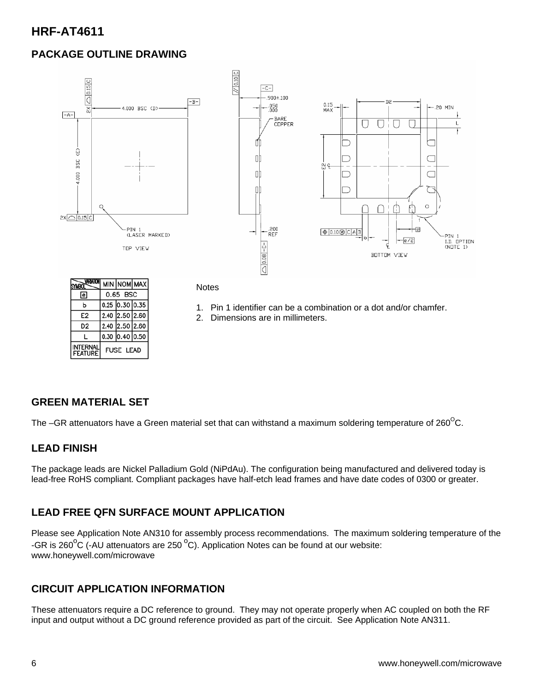# **PACKAGE OUTLINE DRAWING**



| <b>SYMBOL</b>                          |                  |                  | MIN NOM MAX |
|----------------------------------------|------------------|------------------|-------------|
| lel                                    |                  | 0.65 BSC         |             |
| ь                                      |                  | $0.25$ 0.30 0.35 |             |
| E <sub>2</sub>                         |                  | 2.40 2.50 2.60   |             |
| D2                                     |                  | 2.40 2.50 2.60   |             |
|                                        |                  | $0.30$ 0.40 0.50 |             |
| <b><i>TERNAI</i></b><br><b>FEATURE</b> | <b>FUSE LEAD</b> |                  |             |

**Notes** 

- 1. Pin 1 identifier can be a combination or a dot and/or chamfer.
- 2. Dimensions are in millimeters.

#### **GREEN MATERIAL SET**

The –GR attenuators have a Green material set that can withstand a maximum soldering temperature of 260 $^{\circ}$ C.

#### **LEAD FINISH**

The package leads are Nickel Palladium Gold (NiPdAu). The configuration being manufactured and delivered today is lead-free RoHS compliant. Compliant packages have half-etch lead frames and have date codes of 0300 or greater.

#### **LEAD FREE QFN SURFACE MOUNT APPLICATION**

Please see Application Note AN310 for assembly process recommendations. The maximum soldering temperature of the -GR is 260 $\mathrm{^oC}$  (-AU attenuators are 250  $\mathrm{^oC}$ ). Application Notes can be found at our website: www.honeywell.com/microwave

#### **CIRCUIT APPLICATION INFORMATION**

These attenuators require a DC reference to ground. They may not operate properly when AC coupled on both the RF input and output without a DC ground reference provided as part of the circuit. See Application Note AN311.